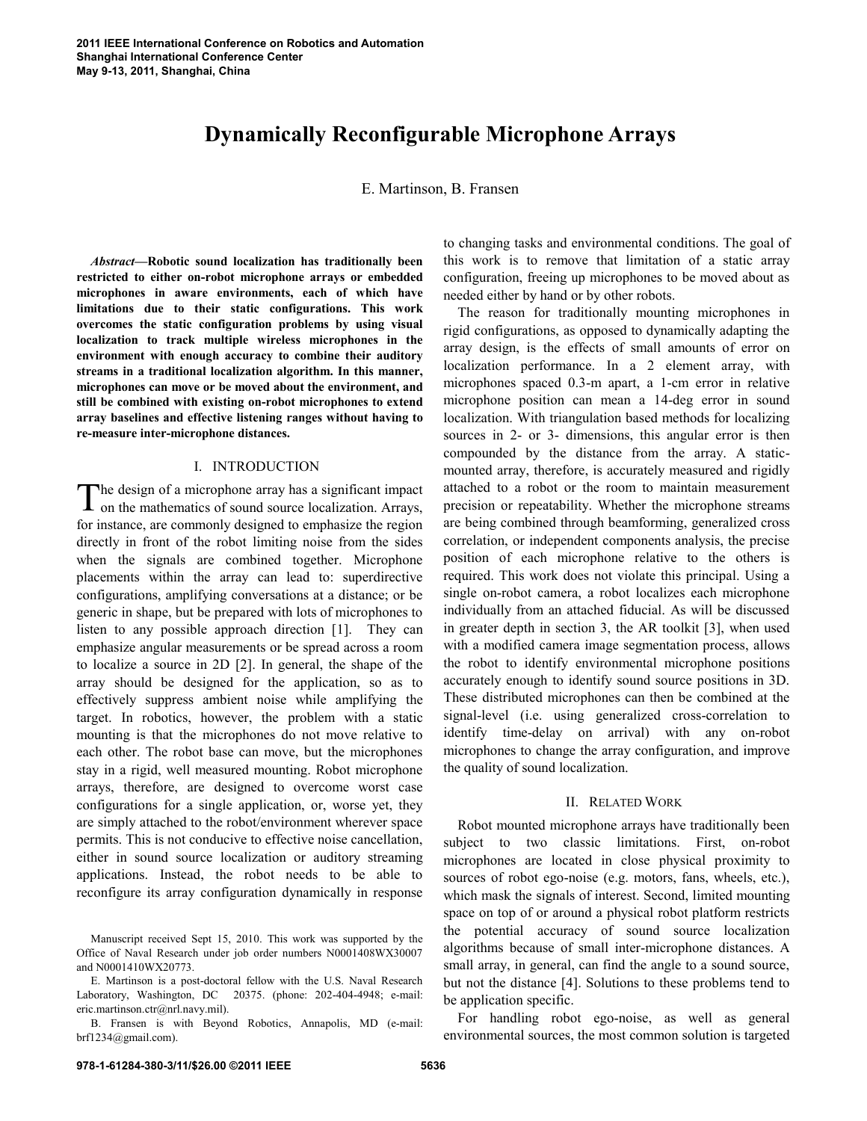# **Dynamically Reconfigurable Microphone Arrays**

E. Martinson, B. Fransen

*Abstract***—Robotic sound localization has traditionally been restricted to either on-robot microphone arrays or embedded microphones in aware environments, each of which have limitations due to their static configurations. This work overcomes the static configuration problems by using visual localization to track multiple wireless microphones in the environment with enough accuracy to combine their auditory streams in a traditional localization algorithm. In this manner, microphones can move or be moved about the environment, and still be combined with existing on-robot microphones to extend array baselines and effective listening ranges without having to re-measure inter-microphone distances.**

#### I. INTRODUCTION

he design of a microphone array has a significant impact The design of a microphone array has a significant impact on the mathematics of sound source localization. Arrays, for instance, are commonly designed to emphasize the region directly in front of the robot limiting noise from the sides when the signals are combined together. Microphone placements within the array can lead to: superdirective configurations, amplifying conversations at a distance; or be generic in shape, but be prepared with lots of microphones to listen to any possible approach direction [1]. They can emphasize angular measurements or be spread across a room to localize a source in 2D [2]. In general, the shape of the array should be designed for the application, so as to effectively suppress ambient noise while amplifying the target. In robotics, however, the problem with a static mounting is that the microphones do not move relative to each other. The robot base can move, but the microphones stay in a rigid, well measured mounting. Robot microphone arrays, therefore, are designed to overcome worst case configurations for a single application, or, worse yet, they are simply attached to the robot/environment wherever space permits. This is not conducive to effective noise cancellation, either in sound source localization or auditory streaming applications. Instead, the robot needs to be able to reconfigure its array configuration dynamically in response

to changing tasks and environmental conditions. The goal of this work is to remove that limitation of a static array configuration, freeing up microphones to be moved about as needed either by hand or by other robots.

The reason for traditionally mounting microphones in rigid configurations, as opposed to dynamically adapting the array design, is the effects of small amounts of error on localization performance. In a 2 element array, with microphones spaced 0.3-m apart, a 1-cm error in relative microphone position can mean a 14-deg error in sound localization. With triangulation based methods for localizing sources in 2- or 3- dimensions, this angular error is then compounded by the distance from the array. A staticmounted array, therefore, is accurately measured and rigidly attached to a robot or the room to maintain measurement precision or repeatability. Whether the microphone streams are being combined through beamforming, generalized cross correlation, or independent components analysis, the precise position of each microphone relative to the others is required. This work does not violate this principal. Using a single on-robot camera, a robot localizes each microphone individually from an attached fiducial. As will be discussed in greater depth in section 3, the AR toolkit [3], when used with a modified camera image segmentation process, allows the robot to identify environmental microphone positions accurately enough to identify sound source positions in 3D. These distributed microphones can then be combined at the signal-level (i.e. using generalized cross-correlation to identify time-delay on arrival) with any on-robot microphones to change the array configuration, and improve the quality of sound localization.

#### II. RELATED WORK

Robot mounted microphone arrays have traditionally been subject to two classic limitations. First, on-robot microphones are located in close physical proximity to sources of robot ego-noise (e.g. motors, fans, wheels, etc.), which mask the signals of interest. Second, limited mounting space on top of or around a physical robot platform restricts the potential accuracy of sound source localization algorithms because of small inter-microphone distances. A small array, in general, can find the angle to a sound source, but not the distance [4]. Solutions to these problems tend to be application specific.

For handling robot ego-noise, as well as general environmental sources, the most common solution is targeted

Manuscript received Sept 15, 2010. This work was supported by the Office of Naval Research under job order numbers N0001408WX30007 and N0001410WX20773.

E. Martinson is a post-doctoral fellow with the U.S. Naval Research Laboratory, Washington, DC 20375. (phone: 202-404-4948; e-mail: eric.martinson.ctr@nrl.navy.mil).

B. Fransen is with Beyond Robotics, Annapolis, MD (e-mail: brf1234@gmail.com).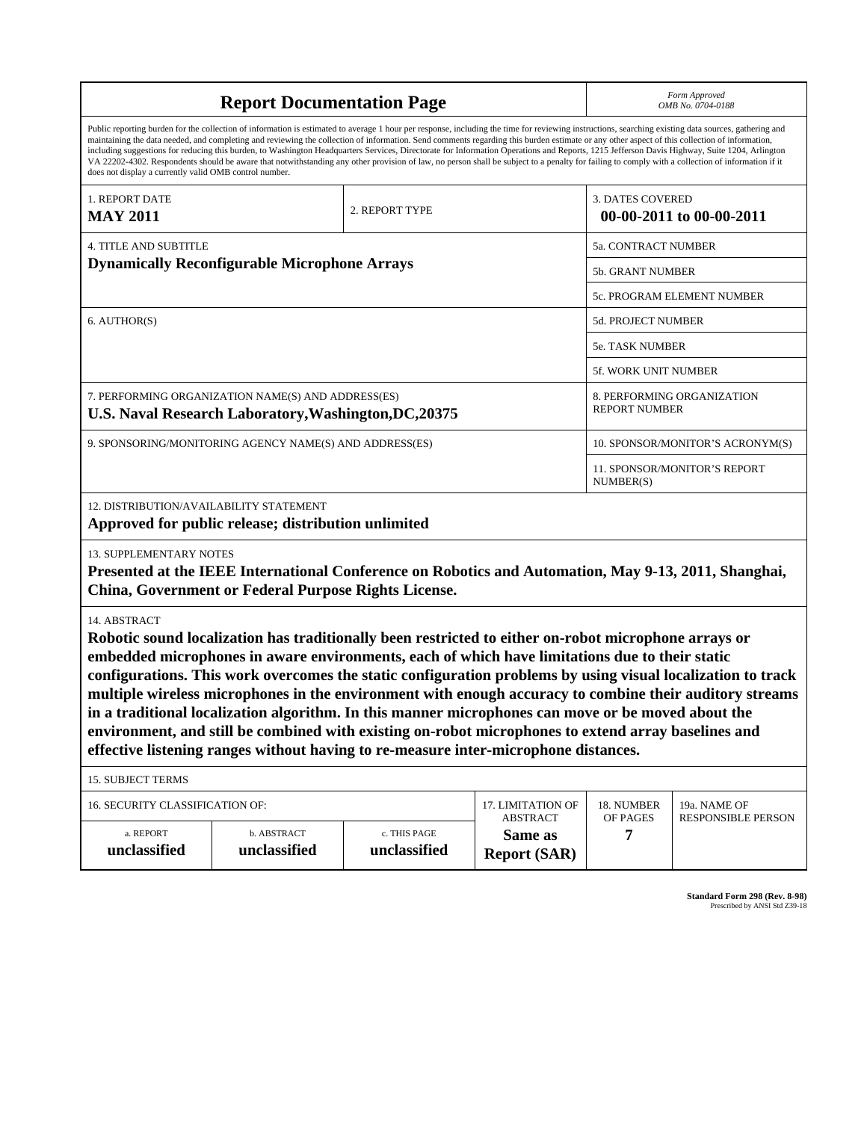| <b>Report Documentation Page</b>                                                                                                                                                                                                                                                                                                                                                                                                                                                                                                                                                                                                                                                                                                                                                                                                                                   |                                                                                                             |                                           |                                                    |                                  | Form Approved<br>OMB No. 0704-0188 |  |  |
|--------------------------------------------------------------------------------------------------------------------------------------------------------------------------------------------------------------------------------------------------------------------------------------------------------------------------------------------------------------------------------------------------------------------------------------------------------------------------------------------------------------------------------------------------------------------------------------------------------------------------------------------------------------------------------------------------------------------------------------------------------------------------------------------------------------------------------------------------------------------|-------------------------------------------------------------------------------------------------------------|-------------------------------------------|----------------------------------------------------|----------------------------------|------------------------------------|--|--|
| Public reporting burden for the collection of information is estimated to average 1 hour per response, including the time for reviewing instructions, searching existing data sources, gathering and<br>maintaining the data needed, and completing and reviewing the collection of information. Send comments regarding this burden estimate or any other aspect of this collection of information,<br>including suggestions for reducing this burden, to Washington Headquarters Services, Directorate for Information Operations and Reports, 1215 Jefferson Davis Highway, Suite 1204, Arlington<br>VA 22202-4302. Respondents should be aware that notwithstanding any other provision of law, no person shall be subject to a penalty for failing to comply with a collection of information if it<br>does not display a currently valid OMB control number. |                                                                                                             |                                           |                                                    |                                  |                                    |  |  |
| 1. REPORT DATE                                                                                                                                                                                                                                                                                                                                                                                                                                                                                                                                                                                                                                                                                                                                                                                                                                                     |                                                                                                             |                                           |                                                    | <b>3. DATES COVERED</b>          |                                    |  |  |
| <b>MAY 2011</b>                                                                                                                                                                                                                                                                                                                                                                                                                                                                                                                                                                                                                                                                                                                                                                                                                                                    |                                                                                                             | 2. REPORT TYPE                            |                                                    |                                  | 00-00-2011 to 00-00-2011           |  |  |
| <b>4. TITLE AND SUBTITLE</b><br><b>Dynamically Reconfigurable Microphone Arrays</b>                                                                                                                                                                                                                                                                                                                                                                                                                                                                                                                                                                                                                                                                                                                                                                                |                                                                                                             |                                           |                                                    | 5a. CONTRACT NUMBER              |                                    |  |  |
|                                                                                                                                                                                                                                                                                                                                                                                                                                                                                                                                                                                                                                                                                                                                                                                                                                                                    |                                                                                                             |                                           | 5b. GRANT NUMBER                                   |                                  |                                    |  |  |
|                                                                                                                                                                                                                                                                                                                                                                                                                                                                                                                                                                                                                                                                                                                                                                                                                                                                    |                                                                                                             |                                           | 5c. PROGRAM ELEMENT NUMBER                         |                                  |                                    |  |  |
| 6. AUTHOR(S)                                                                                                                                                                                                                                                                                                                                                                                                                                                                                                                                                                                                                                                                                                                                                                                                                                                       |                                                                                                             |                                           |                                                    | 5d. PROJECT NUMBER               |                                    |  |  |
|                                                                                                                                                                                                                                                                                                                                                                                                                                                                                                                                                                                                                                                                                                                                                                                                                                                                    |                                                                                                             | <b>5e. TASK NUMBER</b>                    |                                                    |                                  |                                    |  |  |
|                                                                                                                                                                                                                                                                                                                                                                                                                                                                                                                                                                                                                                                                                                                                                                                                                                                                    |                                                                                                             |                                           | <b>5f. WORK UNIT NUMBER</b>                        |                                  |                                    |  |  |
|                                                                                                                                                                                                                                                                                                                                                                                                                                                                                                                                                                                                                                                                                                                                                                                                                                                                    | 7. PERFORMING ORGANIZATION NAME(S) AND ADDRESS(ES)<br>U.S. Naval Research Laboratory, Washington, DC, 20375 |                                           | 8. PERFORMING ORGANIZATION<br><b>REPORT NUMBER</b> |                                  |                                    |  |  |
| 9. SPONSORING/MONITORING AGENCY NAME(S) AND ADDRESS(ES)                                                                                                                                                                                                                                                                                                                                                                                                                                                                                                                                                                                                                                                                                                                                                                                                            |                                                                                                             |                                           |                                                    | 10. SPONSOR/MONITOR'S ACRONYM(S) |                                    |  |  |
|                                                                                                                                                                                                                                                                                                                                                                                                                                                                                                                                                                                                                                                                                                                                                                                                                                                                    |                                                                                                             | 11. SPONSOR/MONITOR'S REPORT<br>NUMBER(S) |                                                    |                                  |                                    |  |  |
| 12. DISTRIBUTION/AVAILABILITY STATEMENT<br>Approved for public release; distribution unlimited                                                                                                                                                                                                                                                                                                                                                                                                                                                                                                                                                                                                                                                                                                                                                                     |                                                                                                             |                                           |                                                    |                                  |                                    |  |  |
| 13. SUPPLEMENTARY NOTES<br>Presented at the IEEE International Conference on Robotics and Automation, May 9-13, 2011, Shanghai,<br><b>China, Government or Federal Purpose Rights License.</b>                                                                                                                                                                                                                                                                                                                                                                                                                                                                                                                                                                                                                                                                     |                                                                                                             |                                           |                                                    |                                  |                                    |  |  |
| 14. ABSTRACT<br>Robotic sound localization has traditionally been restricted to either on-robot microphone arrays or<br>embedded microphones in aware environments, each of which have limitations due to their static<br>configurations. This work overcomes the static configuration problems by using visual localization to track<br>multiple wireless microphones in the environment with enough accuracy to combine their auditory streams<br>in a traditional localization algorithm. In this manner microphones can move or be moved about the<br>environment, and still be combined with existing on-robot microphones to extend array baselines and<br>effective listening ranges without having to re-measure inter-microphone distances.                                                                                                               |                                                                                                             |                                           |                                                    |                                  |                                    |  |  |
| <b>15. SUBJECT TERMS</b>                                                                                                                                                                                                                                                                                                                                                                                                                                                                                                                                                                                                                                                                                                                                                                                                                                           |                                                                                                             |                                           |                                                    |                                  |                                    |  |  |
| 16. SECURITY CLASSIFICATION OF:                                                                                                                                                                                                                                                                                                                                                                                                                                                                                                                                                                                                                                                                                                                                                                                                                                    | 17. LIMITATION OF                                                                                           | 18. NUMBER                                | 19a. NAME OF                                       |                                  |                                    |  |  |
| a. REPORT<br>unclassified                                                                                                                                                                                                                                                                                                                                                                                                                                                                                                                                                                                                                                                                                                                                                                                                                                          | b. ABSTRACT<br>unclassified                                                                                 | c. THIS PAGE<br>unclassified              | <b>ABSTRACT</b><br>Same as<br><b>Report (SAR)</b>  | OF PAGES<br>7                    | <b>RESPONSIBLE PERSON</b>          |  |  |

**Standard Form 298 (Rev. 8-98)**<br>Prescribed by ANSI Std Z39-18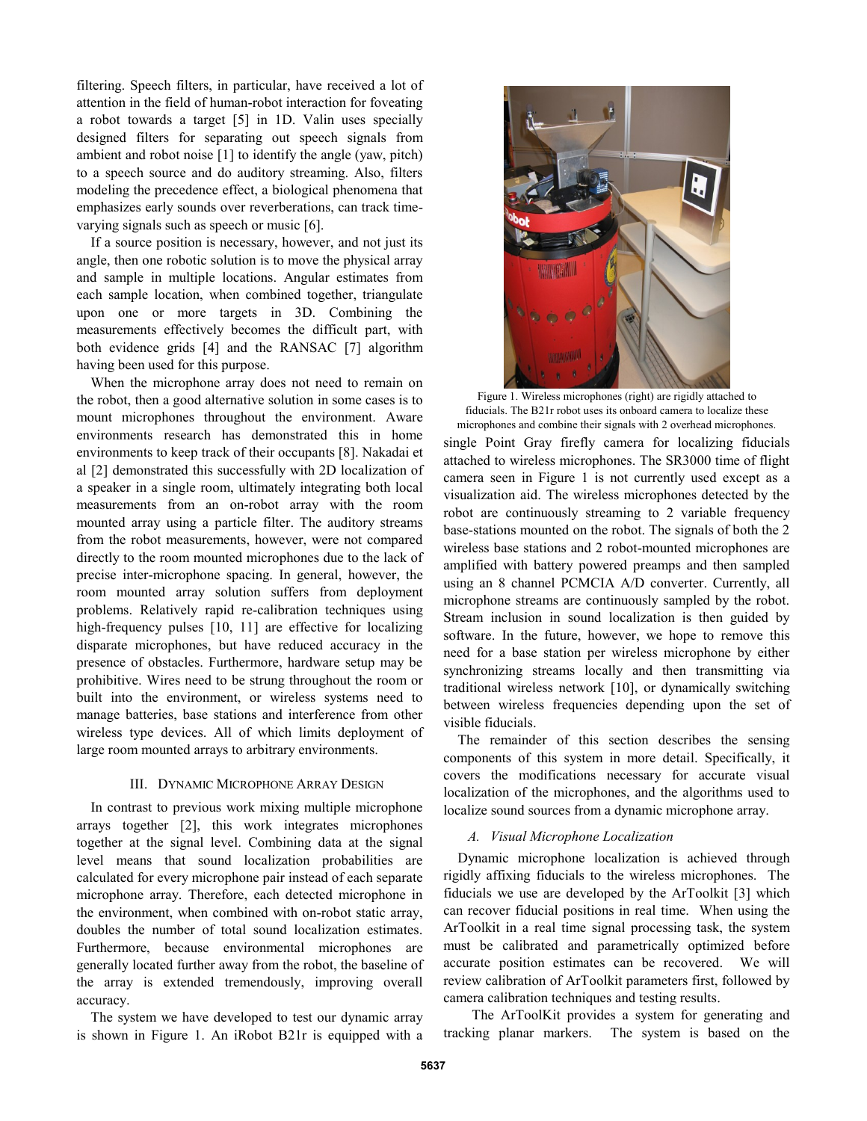filtering. Speech filters, in particular, have received a lot of attention in the field of human-robot interaction for foveating a robot towards a target [5] in 1D. Valin uses specially designed filters for separating out speech signals from ambient and robot noise [1] to identify the angle (yaw, pitch) to a speech source and do auditory streaming. Also, filters modeling the precedence effect, a biological phenomena that emphasizes early sounds over reverberations, can track timevarying signals such as speech or music [6].

If a source position is necessary, however, and not just its angle, then one robotic solution is to move the physical array and sample in multiple locations. Angular estimates from each sample location, when combined together, triangulate upon one or more targets in 3D. Combining the measurements effectively becomes the difficult part, with both evidence grids [4] and the RANSAC [7] algorithm having been used for this purpose.

When the microphone array does not need to remain on the robot, then a good alternative solution in some cases is to mount microphones throughout the environment. Aware environments research has demonstrated this in home environments to keep track of their occupants [8]. Nakadai et al [2] demonstrated this successfully with 2D localization of a speaker in a single room, ultimately integrating both local measurements from an on-robot array with the room mounted array using a particle filter. The auditory streams from the robot measurements, however, were not compared directly to the room mounted microphones due to the lack of precise inter-microphone spacing. In general, however, the room mounted array solution suffers from deployment problems. Relatively rapid re-calibration techniques using high-frequency pulses [10, 11] are effective for localizing disparate microphones, but have reduced accuracy in the presence of obstacles. Furthermore, hardware setup may be prohibitive. Wires need to be strung throughout the room or built into the environment, or wireless systems need to manage batteries, base stations and interference from other wireless type devices. All of which limits deployment of large room mounted arrays to arbitrary environments.

#### III. DYNAMIC MICROPHONE ARRAY DESIGN

In contrast to previous work mixing multiple microphone arrays together [2], this work integrates microphones together at the signal level. Combining data at the signal level means that sound localization probabilities are calculated for every microphone pair instead of each separate microphone array. Therefore, each detected microphone in the environment, when combined with on-robot static array, doubles the number of total sound localization estimates. Furthermore, because environmental microphones are generally located further away from the robot, the baseline of the array is extended tremendously, improving overall accuracy.

The system we have developed to test our dynamic array is shown in Figure 1. An iRobot B21r is equipped with a



Figure 1. Wireless microphones (right) are rigidly attached to fiducials. The B21r robot uses its onboard camera to localize these microphones and combine their signals with 2 overhead microphones.

single Point Gray firefly camera for localizing fiducials attached to wireless microphones. The SR3000 time of flight camera seen in Figure 1 is not currently used except as a visualization aid. The wireless microphones detected by the robot are continuously streaming to 2 variable frequency base-stations mounted on the robot. The signals of both the 2 wireless base stations and 2 robot-mounted microphones are amplified with battery powered preamps and then sampled using an 8 channel PCMCIA A/D converter. Currently, all microphone streams are continuously sampled by the robot. Stream inclusion in sound localization is then guided by software. In the future, however, we hope to remove this need for a base station per wireless microphone by either synchronizing streams locally and then transmitting via traditional wireless network [10], or dynamically switching between wireless frequencies depending upon the set of visible fiducials.

The remainder of this section describes the sensing components of this system in more detail. Specifically, it covers the modifications necessary for accurate visual localization of the microphones, and the algorithms used to localize sound sources from a dynamic microphone array.

## *A. Visual Microphone Localization*

Dynamic microphone localization is achieved through rigidly affixing fiducials to the wireless microphones. The fiducials we use are developed by the ArToolkit [3] which can recover fiducial positions in real time. When using the ArToolkit in a real time signal processing task, the system must be calibrated and parametrically optimized before accurate position estimates can be recovered. We will review calibration of ArToolkit parameters first, followed by camera calibration techniques and testing results.

The ArToolKit provides a system for generating and tracking planar markers. The system is based on the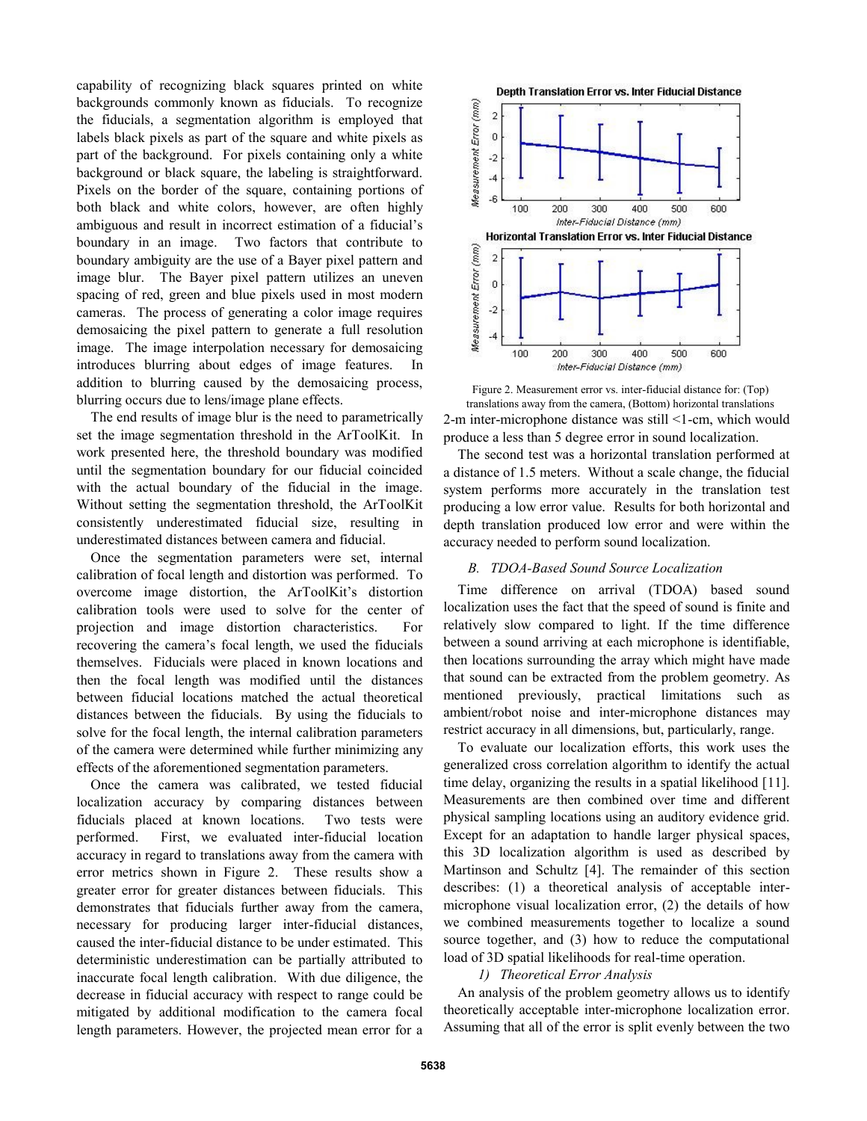capability of recognizing black squares printed on white backgrounds commonly known as fiducials. To recognize the fiducials, a segmentation algorithm is employed that labels black pixels as part of the square and white pixels as part of the background. For pixels containing only a white background or black square, the labeling is straightforward. Pixels on the border of the square, containing portions of both black and white colors, however, are often highly ambiguous and result in incorrect estimation of a fiducial's boundary in an image. Two factors that contribute to boundary ambiguity are the use of a Bayer pixel pattern and image blur. The Bayer pixel pattern utilizes an uneven spacing of red, green and blue pixels used in most modern cameras. The process of generating a color image requires demosaicing the pixel pattern to generate a full resolution image. The image interpolation necessary for demosaicing introduces blurring about edges of image features. In addition to blurring caused by the demosaicing process, blurring occurs due to lens/image plane effects.

The end results of image blur is the need to parametrically set the image segmentation threshold in the ArToolKit. In work presented here, the threshold boundary was modified until the segmentation boundary for our fiducial coincided with the actual boundary of the fiducial in the image. Without setting the segmentation threshold, the ArToolKit consistently underestimated fiducial size, resulting in underestimated distances between camera and fiducial.

Once the segmentation parameters were set, internal calibration of focal length and distortion was performed. To overcome image distortion, the ArToolKit's distortion calibration tools were used to solve for the center of projection and image distortion characteristics. For recovering the camera's focal length, we used the fiducials themselves. Fiducials were placed in known locations and then the focal length was modified until the distances between fiducial locations matched the actual theoretical distances between the fiducials. By using the fiducials to solve for the focal length, the internal calibration parameters of the camera were determined while further minimizing any effects of the aforementioned segmentation parameters.

Once the camera was calibrated, we tested fiducial localization accuracy by comparing distances between fiducials placed at known locations. Two tests were performed. First, we evaluated inter-fiducial location accuracy in regard to translations away from the camera with error metrics shown in Figure 2. These results show a greater error for greater distances between fiducials. This demonstrates that fiducials further away from the camera, necessary for producing larger inter-fiducial distances, caused the inter-fiducial distance to be under estimated. This deterministic underestimation can be partially attributed to inaccurate focal length calibration. With due diligence, the decrease in fiducial accuracy with respect to range could be mitigated by additional modification to the camera focal length parameters. However, the projected mean error for a



2-m inter-microphone distance was still <1-cm, which would produce a less than 5 degree error in sound localization. Figure 2. Measurement error vs. inter-fiducial distance for: (Top) translations away from the camera, (Bottom) horizontal translations

The second test was a horizontal translation performed at a distance of 1.5 meters. Without a scale change, the fiducial system performs more accurately in the translation test producing a low error value. Results for both horizontal and depth translation produced low error and were within the accuracy needed to perform sound localization.

## *B. TDOA-Based Sound Source Localization*

Time difference on arrival (TDOA) based sound localization uses the fact that the speed of sound is finite and relatively slow compared to light. If the time difference between a sound arriving at each microphone is identifiable, then locations surrounding the array which might have made that sound can be extracted from the problem geometry. As mentioned previously, practical limitations such as ambient/robot noise and inter-microphone distances may restrict accuracy in all dimensions, but, particularly, range.

To evaluate our localization efforts, this work uses the generalized cross correlation algorithm to identify the actual time delay, organizing the results in a spatial likelihood [11]. Measurements are then combined over time and different physical sampling locations using an auditory evidence grid. Except for an adaptation to handle larger physical spaces, this 3D localization algorithm is used as described by Martinson and Schultz [4]. The remainder of this section describes: (1) a theoretical analysis of acceptable intermicrophone visual localization error, (2) the details of how we combined measurements together to localize a sound source together, and (3) how to reduce the computational load of 3D spatial likelihoods for real-time operation.

## *1) Theoretical Error Analysis*

An analysis of the problem geometry allows us to identify theoretically acceptable inter-microphone localization error. Assuming that all of the error is split evenly between the two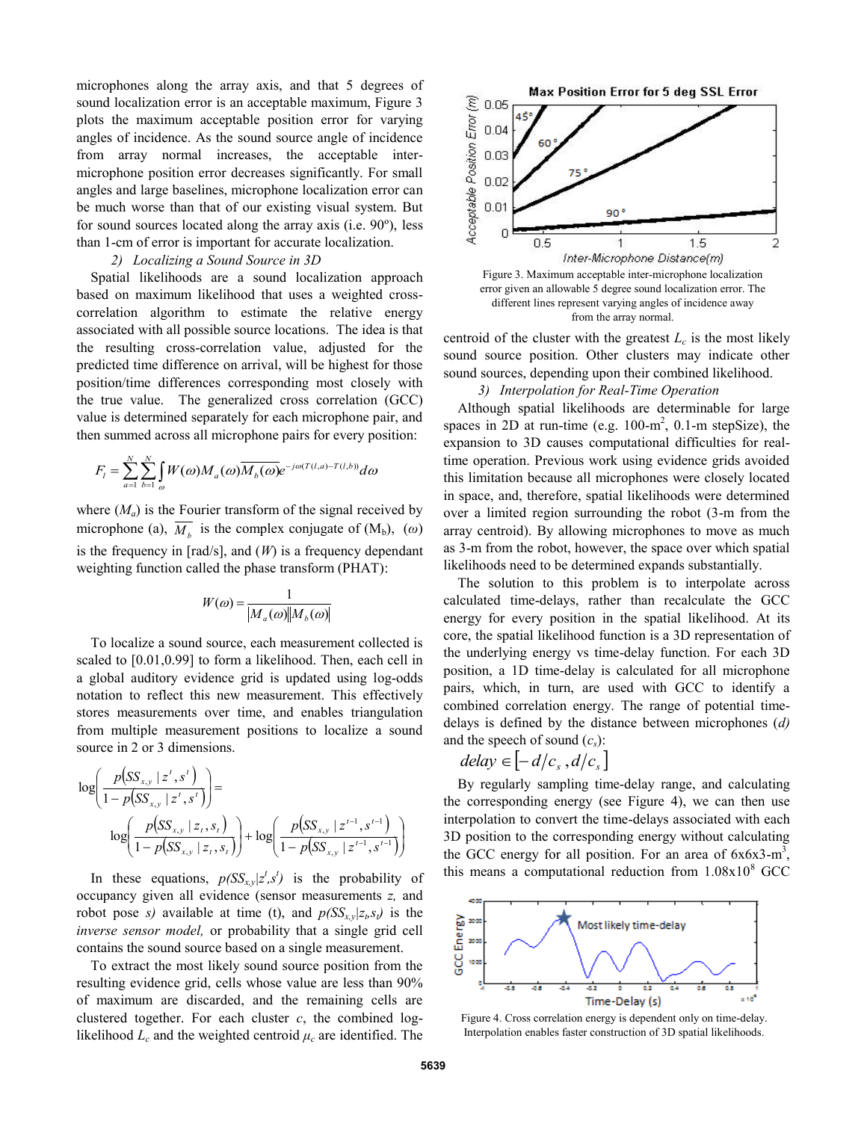microphones along the array axis, and that 5 degrees of sound localization error is an acceptable maximum, Figure 3 plots the maximum acceptable position error for varying angles of incidence. As the sound source angle of incidence from array normal increases, the acceptable intermicrophone position error decreases significantly. For small angles and large baselines, microphone localization error can be much worse than that of our existing visual system. But for sound sources located along the array axis (i.e. 90º), less than 1-cm of error is important for accurate localization.

#### *2) Localizing a Sound Source in 3D*

Spatial likelihoods are a sound localization approach based on maximum likelihood that uses a weighted crosscorrelation algorithm to estimate the relative energy associated with all possible source locations. The idea is that the resulting cross-correlation value, adjusted for the predicted time difference on arrival, will be highest for those position/time differences corresponding most closely with the true value. The generalized cross correlation (GCC) value is determined separately for each microphone pair, and then summed across all microphone pairs for every position:

$$
F_l = \sum_{a=1}^N \sum_{b=1}^N \int_{\omega} W(\omega) M_a(\omega) \overline{M_b(\omega)} e^{-j\omega(T(l,a)-T(l,b))} d\omega
$$

where  $(M_a)$  is the Fourier transform of the signal received by microphone (a),  $\overline{M_b}$  is the complex conjugate of (M<sub>b</sub>), ( $\omega$ ) is the frequency in [rad/s], and (*W*) is a frequency dependant weighting function called the phase transform (PHAT):

$$
W(\omega) = \frac{1}{\left|M_a(\omega)\right| M_b(\omega)}
$$

To localize a sound source, each measurement collected is scaled to [0.01,0.99] to form a likelihood. Then, each cell in a global auditory evidence grid is updated using log-odds notation to reflect this new measurement. This effectively stores measurements over time, and enables triangulation from multiple measurement positions to localize a sound source in 2 or 3 dimensions.

$$
\log \left( \frac{p \left( SS_{x,y} \mid z^t, s^t \right)}{1 - p \left( SS_{x,y} \mid z^t, s^t \right)} \right) =
$$
\n
$$
\log \left( \frac{p \left( SS_{x,y} \mid z_t, s_t \right)}{1 - p \left( SS_{x,y} \mid z_t, s_t \right)} \right) + \log \left( \frac{p \left( SS_{x,y} \mid z^{t-1}, s^{t-1} \right)}{1 - p \left( SS_{x,y} \mid z^{t-1}, s^{t-1} \right)} \right)
$$

In these equations,  $p(SS_{x,y} | z^t, s^t)$  is the probability of occupancy given all evidence (sensor measurements *z,* and robot pose *s*) available at time (t), and  $p(SS_{x,y}|z_t, s_t)$  is the *inverse sensor model,* or probability that a single grid cell contains the sound source based on a single measurement.

To extract the most likely sound source position from the resulting evidence grid, cells whose value are less than 90% of maximum are discarded, and the remaining cells are clustered together. For each cluster  $c$ , the combined loglikelihood  $L_c$  and the weighted centroid  $\mu_c$  are identified. The



centroid of the cluster with the greatest  $L_c$  is the most likely sound source position. Other clusters may indicate other sound sources, depending upon their combined likelihood.

## *3) Interpolation for Real-Time Operation*

Although spatial likelihoods are determinable for large spaces in 2D at run-time (e.g.  $100 \text{--} m^2$ , 0.1-m stepSize), the expansion to 3D causes computational difficulties for realtime operation. Previous work using evidence grids avoided this limitation because all microphones were closely located in space, and, therefore, spatial likelihoods were determined over a limited region surrounding the robot (3-m from the array centroid). By allowing microphones to move as much as 3-m from the robot, however, the space over which spatial likelihoods need to be determined expands substantially.

The solution to this problem is to interpolate across calculated time-delays, rather than recalculate the GCC energy for every position in the spatial likelihood. At its core, the spatial likelihood function is a 3D representation of the underlying energy vs time-delay function. For each 3D position, a 1D time-delay is calculated for all microphone pairs, which, in turn, are used with GCC to identify a combined correlation energy. The range of potential timedelays is defined by the distance between microphones (*d)* and the speech of sound  $(c_s)$ :

$$
delay \in [-d/c_s, d/c_s]
$$

By regularly sampling time-delay range, and calculating the corresponding energy (see Figure 4), we can then use interpolation to convert the time-delays associated with each 3D position to the corresponding energy without calculating the GCC energy for all position. For an area of  $6x6x3-m<sup>3</sup>$ , this means a computational reduction from  $1.08x10^8$  GCC



Figure 4. Cross correlation energy is dependent only on time-delay. Interpolation enables faster construction of 3D spatial likelihoods.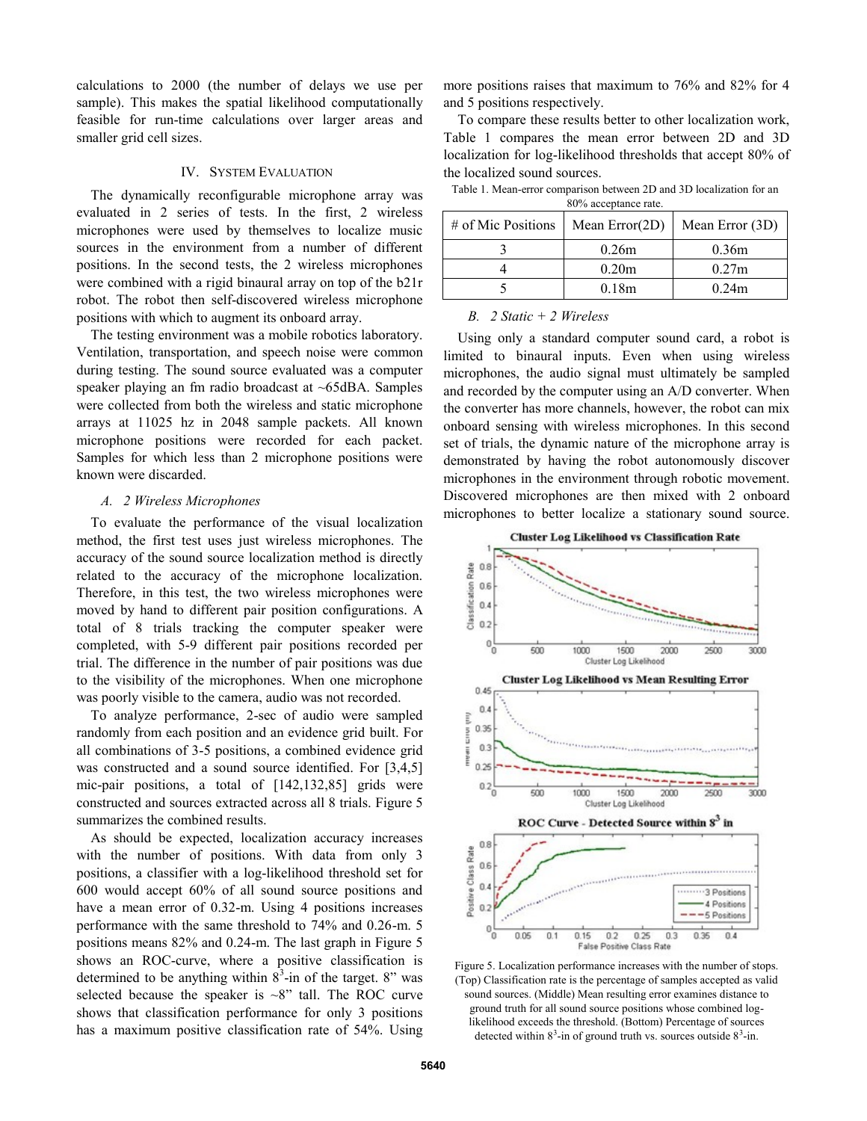calculations to 2000 (the number of delays we use per sample). This makes the spatial likelihood computationally feasible for run-time calculations over larger areas and smaller grid cell sizes.

#### IV. SYSTEM EVALUATION

The dynamically reconfigurable microphone array was evaluated in 2 series of tests. In the first, 2 wireless microphones were used by themselves to localize music sources in the environment from a number of different positions. In the second tests, the 2 wireless microphones were combined with a rigid binaural array on top of the b21r robot. The robot then self-discovered wireless microphone positions with which to augment its onboard array.

The testing environment was a mobile robotics laboratory. Ventilation, transportation, and speech noise were common during testing. The sound source evaluated was a computer speaker playing an fm radio broadcast at ~65dBA. Samples were collected from both the wireless and static microphone arrays at 11025 hz in 2048 sample packets. All known microphone positions were recorded for each packet. Samples for which less than 2 microphone positions were known were discarded.

### *A. 2 Wireless Microphones*

To evaluate the performance of the visual localization method, the first test uses just wireless microphones. The accuracy of the sound source localization method is directly related to the accuracy of the microphone localization. Therefore, in this test, the two wireless microphones were moved by hand to different pair position configurations. A total of 8 trials tracking the computer speaker were completed, with 5-9 different pair positions recorded per trial. The difference in the number of pair positions was due to the visibility of the microphones. When one microphone was poorly visible to the camera, audio was not recorded.

To analyze performance, 2-sec of audio were sampled randomly from each position and an evidence grid built. For all combinations of 3-5 positions, a combined evidence grid was constructed and a sound source identified. For [3,4,5] mic-pair positions, a total of [142,132,85] grids were constructed and sources extracted across all 8 trials. Figure 5 summarizes the combined results.

As should be expected, localization accuracy increases with the number of positions. With data from only 3 positions, a classifier with a log-likelihood threshold set for 600 would accept 60% of all sound source positions and have a mean error of 0.32-m. Using 4 positions increases performance with the same threshold to 74% and 0.26-m. 5 positions means 82% and 0.24-m. The last graph in Figure 5 shows an ROC-curve, where a positive classification is determined to be anything within  $8^3$ -in of the target.  $8$ " was selected because the speaker is  $~8"$  tall. The ROC curve shows that classification performance for only 3 positions has a maximum positive classification rate of 54%. Using

more positions raises that maximum to 76% and 82% for 4 and 5 positions respectively.

To compare these results better to other localization work, Table 1 compares the mean error between 2D and 3D localization for log-likelihood thresholds that accept 80% of the localized sound sources.

| Table 1. Mean-error comparison between 2D and 3D localization for an |  |  |  |  |  |
|----------------------------------------------------------------------|--|--|--|--|--|
| 80% acceptance rate.                                                 |  |  |  |  |  |
|                                                                      |  |  |  |  |  |

| # of Mic Positions | Mean $Error(2D)$  | Mean Error (3D) |
|--------------------|-------------------|-----------------|
|                    | 0.26m             | 0.36m           |
|                    | 0.20 <sub>m</sub> | 0.27m           |
|                    | 0.18m             | 0.24m           |

#### *B. 2 Static + 2 Wireless*

Using only a standard computer sound card, a robot is limited to binaural inputs. Even when using wireless microphones, the audio signal must ultimately be sampled and recorded by the computer using an A/D converter. When the converter has more channels, however, the robot can mix onboard sensing with wireless microphones. In this second set of trials, the dynamic nature of the microphone array is demonstrated by having the robot autonomously discover microphones in the environment through robotic movement. Discovered microphones are then mixed with 2 onboard microphones to better localize a stationary sound source.



Figure 5. Localization performance increases with the number of stops. (Top) Classification rate is the percentage of samples accepted as valid sound sources. (Middle) Mean resulting error examines distance to ground truth for all sound source positions whose combined loglikelihood exceeds the threshold. (Bottom) Percentage of sources detected within  $8^3$ -in of ground truth vs. sources outside  $8^3$ -in.